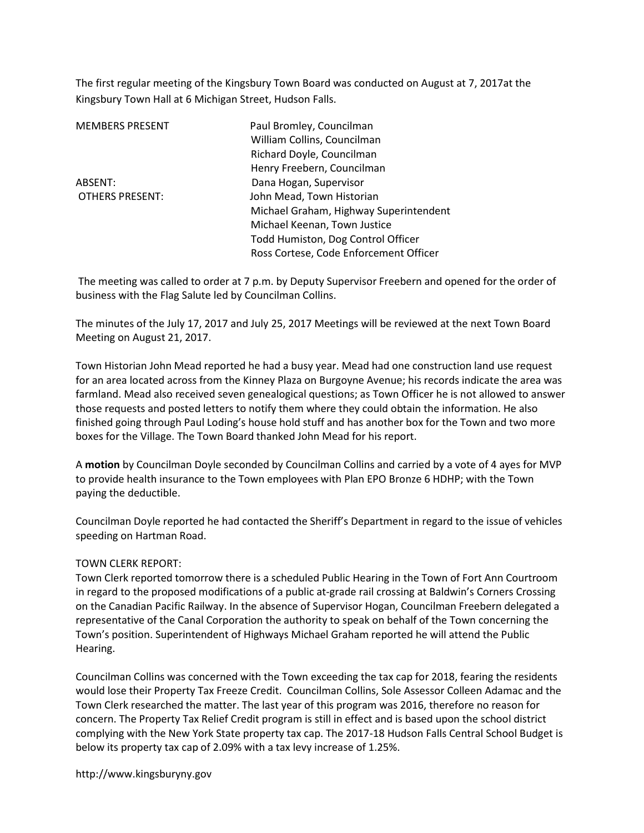The first regular meeting of the Kingsbury Town Board was conducted on August at 7, 2017at the Kingsbury Town Hall at 6 Michigan Street, Hudson Falls.

| <b>MEMBERS PRESENT</b> | Paul Bromley, Councilman               |
|------------------------|----------------------------------------|
|                        | William Collins, Councilman            |
|                        | Richard Doyle, Councilman              |
|                        | Henry Freebern, Councilman             |
| ABSENT:                | Dana Hogan, Supervisor                 |
| <b>OTHERS PRESENT:</b> | John Mead, Town Historian              |
|                        | Michael Graham, Highway Superintendent |
|                        | Michael Keenan, Town Justice           |
|                        | Todd Humiston, Dog Control Officer     |
|                        | Ross Cortese, Code Enforcement Officer |

 The meeting was called to order at 7 p.m. by Deputy Supervisor Freebern and opened for the order of business with the Flag Salute led by Councilman Collins.

The minutes of the July 17, 2017 and July 25, 2017 Meetings will be reviewed at the next Town Board Meeting on August 21, 2017.

Town Historian John Mead reported he had a busy year. Mead had one construction land use request for an area located across from the Kinney Plaza on Burgoyne Avenue; his records indicate the area was farmland. Mead also received seven genealogical questions; as Town Officer he is not allowed to answer those requests and posted letters to notify them where they could obtain the information. He also finished going through Paul Loding's house hold stuff and has another box for the Town and two more boxes for the Village. The Town Board thanked John Mead for his report.

A motion by Councilman Doyle seconded by Councilman Collins and carried by a vote of 4 ayes for MVP to provide health insurance to the Town employees with Plan EPO Bronze 6 HDHP; with the Town paying the deductible.

Councilman Doyle reported he had contacted the Sheriff's Department in regard to the issue of vehicles speeding on Hartman Road.

## TOWN CLERK REPORT:

Town Clerk reported tomorrow there is a scheduled Public Hearing in the Town of Fort Ann Courtroom in regard to the proposed modifications of a public at-grade rail crossing at Baldwin's Corners Crossing on the Canadian Pacific Railway. In the absence of Supervisor Hogan, Councilman Freebern delegated a representative of the Canal Corporation the authority to speak on behalf of the Town concerning the Town's position. Superintendent of Highways Michael Graham reported he will attend the Public Hearing.

Councilman Collins was concerned with the Town exceeding the tax cap for 2018, fearing the residents would lose their Property Tax Freeze Credit. Councilman Collins, Sole Assessor Colleen Adamac and the Town Clerk researched the matter. The last year of this program was 2016, therefore no reason for concern. The Property Tax Relief Credit program is still in effect and is based upon the school district complying with the New York State property tax cap. The 2017-18 Hudson Falls Central School Budget is below its property tax cap of 2.09% with a tax levy increase of 1.25%.

http://www.kingsburyny.gov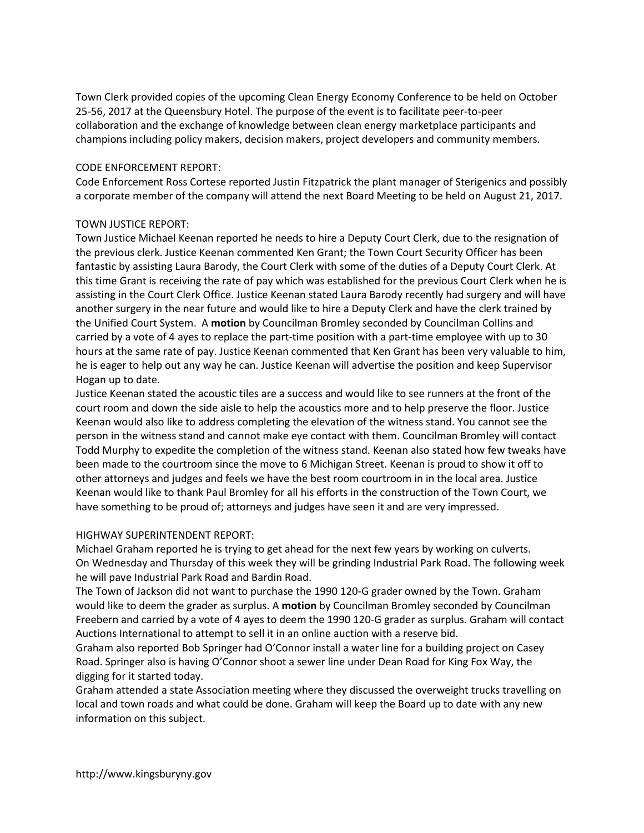Town Clerk provided copies of the upcoming Clean Energy Economy Conference to be held on October 25-56, 2017 at the Queensbury Hotel. The purpose of the event is to facilitate peer-to-peer collaboration and the exchange of knowledge between clean energy marketplace participants and champions including policy makers, decision makers, project developers and community members.

## CODE ENFORCEMENT REPORT:

Code Enforcement Ross Cortese reported Justin Fitzpatrick the plant manager of Sterigenics and possibly a corporate member of the company will attend the next Board Meeting to be held on August 21, 2017.

## TOWN JUSTICE REPORT:

Town Justice Michael Keenan reported he needs to hire a Deputy Court Clerk, due to the resignation of the previous clerk. Justice Keenan commented Ken Grant; the Town Court Security Officer has been fantastic by assisting Laura Barody, the Court Clerk with some of the duties of a Deputy Court Clerk. At this time Grant is receiving the rate of pay which was established for the previous Court Clerk when he is assisting in the Court Clerk Office. Justice Keenan stated Laura Barody recently had surgery and will have another surgery in the near future and would like to hire a Deputy Clerk and have the clerk trained by the Unified Court System. A motion by Councilman Bromley seconded by Councilman Collins and carried by a vote of 4 ayes to replace the part-time position with a part-time employee with up to 30 hours at the same rate of pay. Justice Keenan commented that Ken Grant has been very valuable to him, he is eager to help out any way he can. Justice Keenan will advertise the position and keep Supervisor Hogan up to date.

Justice Keenan stated the acoustic tiles are a success and would like to see runners at the front of the court room and down the side aisle to help the acoustics more and to help preserve the floor. Justice Keenan would also like to address completing the elevation of the witness stand. You cannot see the person in the witness stand and cannot make eye contact with them. Councilman Bromley will contact Todd Murphy to expedite the completion of the witness stand. Keenan also stated how few tweaks have been made to the courtroom since the move to 6 Michigan Street. Keenan is proud to show it off to other attorneys and judges and feels we have the best room courtroom in in the local area. Justice Keenan would like to thank Paul Bromley for all his efforts in the construction of the Town Court, we have something to be proud of; attorneys and judges have seen it and are very impressed.

## HIGHWAY SUPERINTENDENT REPORT:

Michael Graham reported he is trying to get ahead for the next few years by working on culverts. On Wednesday and Thursday of this week they will be grinding Industrial Park Road. The following week he will pave Industrial Park Road and Bardin Road.

The Town of Jackson did not want to purchase the 1990 120-G grader owned by the Town. Graham would like to deem the grader as surplus. A motion by Councilman Bromley seconded by Councilman Freebern and carried by a vote of 4 ayes to deem the 1990 120-G grader as surplus. Graham will contact Auctions International to attempt to sell it in an online auction with a reserve bid.

Graham also reported Bob Springer had O'Connor install a water line for a building project on Casey Road. Springer also is having O'Connor shoot a sewer line under Dean Road for King Fox Way, the digging for it started today.

Graham attended a state Association meeting where they discussed the overweight trucks travelling on local and town roads and what could be done. Graham will keep the Board up to date with any new information on this subject.